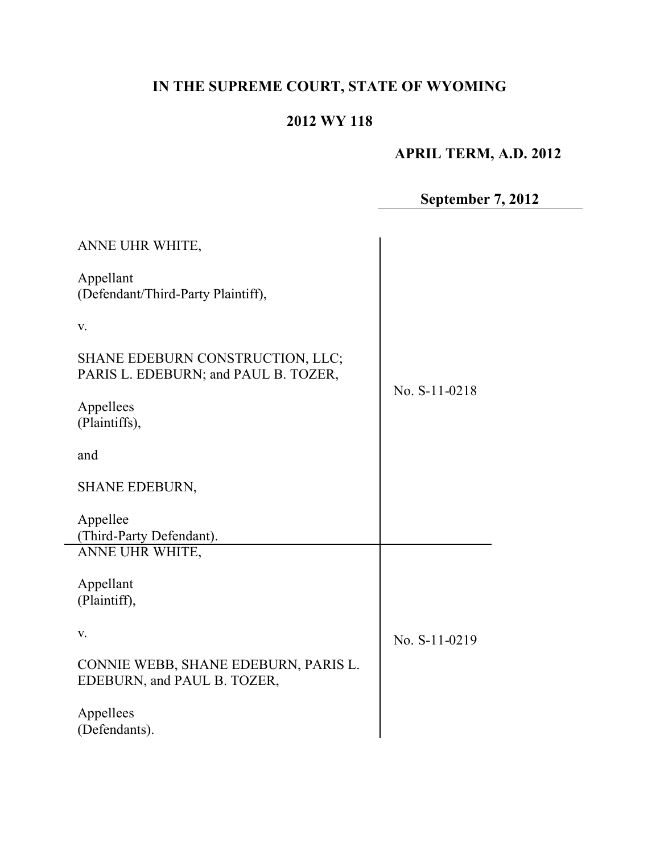# **IN THE SUPREME COURT, STATE OF WYOMING**

## **2012 WY 118**

# **APRIL TERM, A.D. 2012**

**September 7, 2012**

| ANNE UHR WHITE,                                                          |               |
|--------------------------------------------------------------------------|---------------|
| Appellant<br>(Defendant/Third-Party Plaintiff),                          |               |
| V.                                                                       |               |
| SHANE EDEBURN CONSTRUCTION, LLC;<br>PARIS L. EDEBURN; and PAUL B. TOZER, | No. S-11-0218 |
| Appellees<br>(Plaintiffs),                                               |               |
| and                                                                      |               |
| <b>SHANE EDEBURN,</b>                                                    |               |
| Appellee<br>(Third-Party Defendant).                                     |               |
| ANNE UHR WHITE,                                                          |               |
| Appellant<br>(Plaintiff),                                                |               |
| V.                                                                       | No. S-11-0219 |
| CONNIE WEBB, SHANE EDEBURN, PARIS L.<br>EDEBURN, and PAUL B. TOZER,      |               |
| Appellees<br>(Defendants).                                               |               |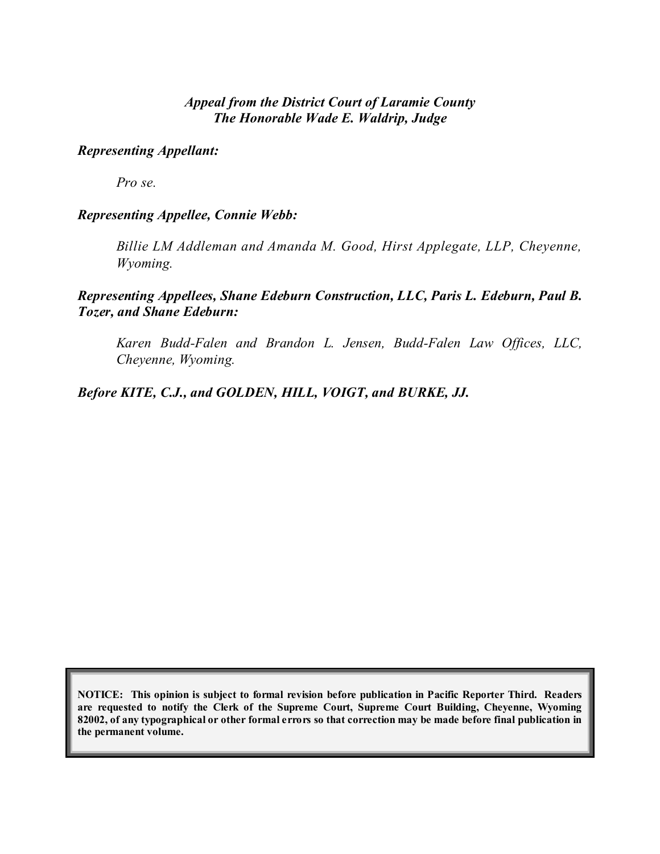## *Appeal from the District Court of Laramie County The Honorable Wade E. Waldrip, Judge*

## *Representing Appellant:*

*Pro se.*

#### *Representing Appellee, Connie Webb:*

*Billie LM Addleman and Amanda M. Good, Hirst Applegate, LLP, Cheyenne, Wyoming.*

*Representing Appellees, Shane Edeburn Construction, LLC, Paris L. Edeburn, Paul B. Tozer, and Shane Edeburn:*

*Karen Budd-Falen and Brandon L. Jensen, Budd-Falen Law Offices, LLC, Cheyenne, Wyoming.*

*Before KITE, C.J., and GOLDEN, HILL, VOIGT, and BURKE, JJ.*

**NOTICE: This opinion is subject to formal revision before publication in Pacific Reporter Third. Readers are requested to notify the Clerk of the Supreme Court, Supreme Court Building, Cheyenne, Wyoming** 82002, of any typographical or other formal errors so that correction may be made before final publication in **the permanent volume.**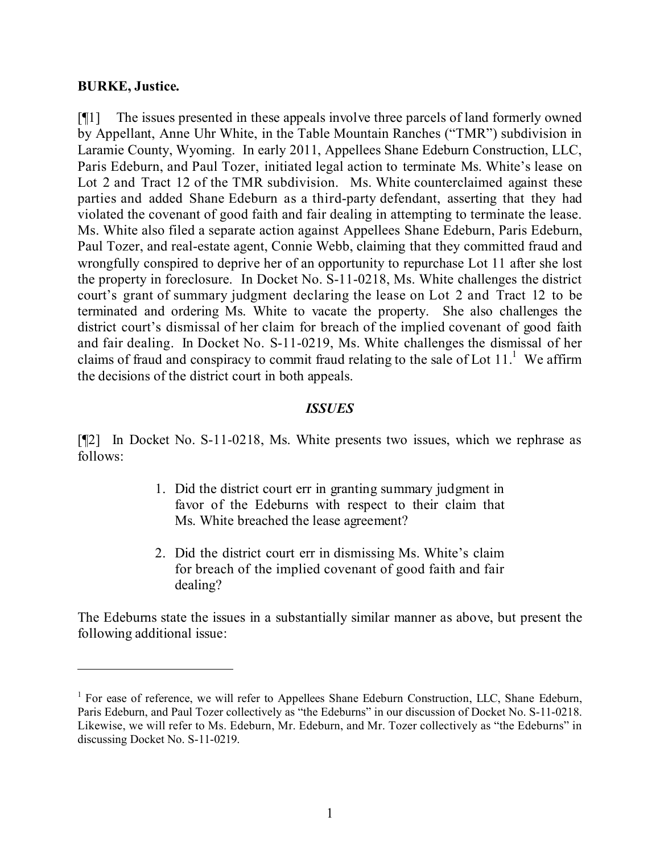#### **BURKE, Justice.**

[¶1] The issues presented in these appeals involve three parcels of land formerly owned by Appellant, Anne Uhr White, in the Table Mountain Ranches ("TMR") subdivision in Laramie County, Wyoming. In early 2011, Appellees Shane Edeburn Construction, LLC, Paris Edeburn, and Paul Tozer, initiated legal action to terminate Ms. White's lease on Lot 2 and Tract 12 of the TMR subdivision. Ms. White counterclaimed against these parties and added Shane Edeburn as a third-party defendant, asserting that they had violated the covenant of good faith and fair dealing in attempting to terminate the lease. Ms. White also filed a separate action against Appellees Shane Edeburn, Paris Edeburn, Paul Tozer, and real-estate agent, Connie Webb, claiming that they committed fraud and wrongfully conspired to deprive her of an opportunity to repurchase Lot 11 after she lost the property in foreclosure. In Docket No. S-11-0218, Ms. White challenges the district court's grant of summary judgment declaring the lease on Lot 2 and Tract 12 to be terminated and ordering Ms. White to vacate the property. She also challenges the district court's dismissal of her claim for breach of the implied covenant of good faith and fair dealing. In Docket No. S-11-0219, Ms. White challenges the dismissal of her claims of fraud and conspiracy to commit fraud relating to the sale of Lot  $11<sup>1</sup>$ . We affirm the decisions of the district court in both appeals.

#### *ISSUES*

[¶2] In Docket No. S-11-0218, Ms. White presents two issues, which we rephrase as follows:

- 1. Did the district court err in granting summary judgment in favor of the Edeburns with respect to their claim that Ms. White breached the lease agreement?
- 2. Did the district court err in dismissing Ms. White's claim for breach of the implied covenant of good faith and fair dealing?

The Edeburns state the issues in a substantially similar manner as above, but present the following additional issue:

<sup>&</sup>lt;sup>1</sup> For ease of reference, we will refer to Appellees Shane Edeburn Construction, LLC, Shane Edeburn, Paris Edeburn, and Paul Tozer collectively as "the Edeburns" in our discussion of Docket No. S-11-0218. Likewise, we will refer to Ms. Edeburn, Mr. Edeburn, and Mr. Tozer collectively as "the Edeburns" in discussing Docket No. S-11-0219.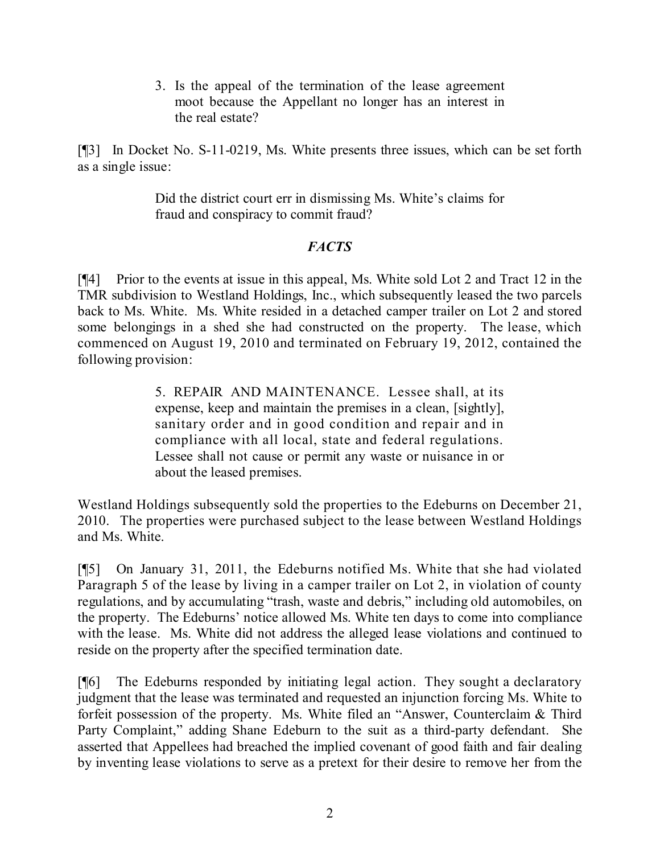3. Is the appeal of the termination of the lease agreement moot because the Appellant no longer has an interest in the real estate?

[¶3] In Docket No. S-11-0219, Ms. White presents three issues, which can be set forth as a single issue:

> Did the district court err in dismissing Ms. White's claims for fraud and conspiracy to commit fraud?

## *FACTS*

[¶4] Prior to the events at issue in this appeal, Ms. White sold Lot 2 and Tract 12 in the TMR subdivision to Westland Holdings, Inc., which subsequently leased the two parcels back to Ms. White. Ms. White resided in a detached camper trailer on Lot 2 and stored some belongings in a shed she had constructed on the property. The lease, which commenced on August 19, 2010 and terminated on February 19, 2012, contained the following provision:

> 5. REPAIR AND MAINTENANCE. Lessee shall, at its expense, keep and maintain the premises in a clean, [sightly], sanitary order and in good condition and repair and in compliance with all local, state and federal regulations. Lessee shall not cause or permit any waste or nuisance in or about the leased premises.

Westland Holdings subsequently sold the properties to the Edeburns on December 21, 2010. The properties were purchased subject to the lease between Westland Holdings and Ms. White.

[¶5] On January 31, 2011, the Edeburns notified Ms. White that she had violated Paragraph 5 of the lease by living in a camper trailer on Lot 2, in violation of county regulations, and by accumulating "trash, waste and debris," including old automobiles, on the property. The Edeburns' notice allowed Ms. White ten days to come into compliance with the lease. Ms. White did not address the alleged lease violations and continued to reside on the property after the specified termination date.

[¶6] The Edeburns responded by initiating legal action. They sought a declaratory judgment that the lease was terminated and requested an injunction forcing Ms. White to forfeit possession of the property. Ms. White filed an "Answer, Counterclaim & Third Party Complaint," adding Shane Edeburn to the suit as a third-party defendant. She asserted that Appellees had breached the implied covenant of good faith and fair dealing by inventing lease violations to serve as a pretext for their desire to remove her from the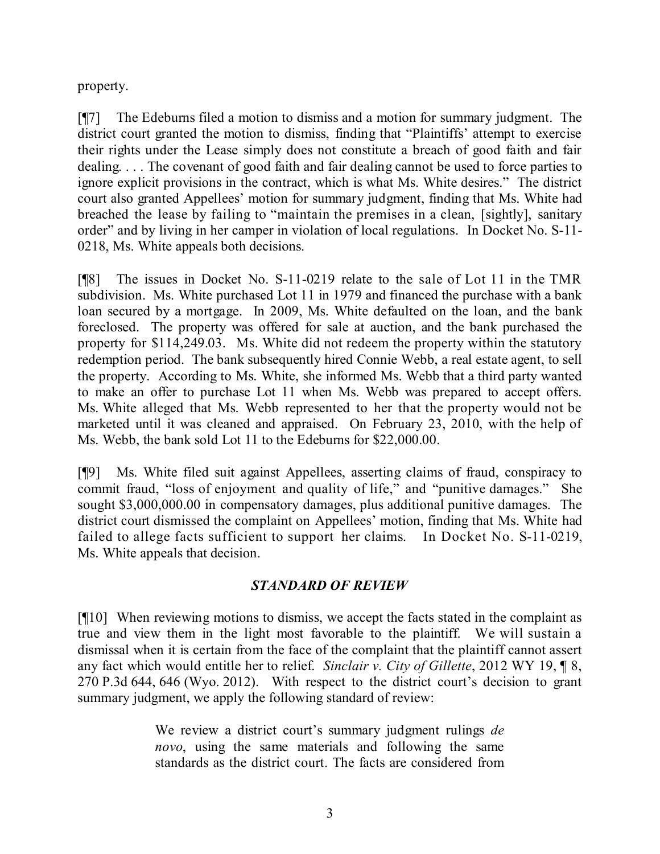property.

[¶7] The Edeburns filed a motion to dismiss and a motion for summary judgment. The district court granted the motion to dismiss, finding that "Plaintiffs' attempt to exercise their rights under the Lease simply does not constitute a breach of good faith and fair dealing. . . . The covenant of good faith and fair dealing cannot be used to force parties to ignore explicit provisions in the contract, which is what Ms. White desires." The district court also granted Appellees' motion for summary judgment, finding that Ms. White had breached the lease by failing to "maintain the premises in a clean, [sightly], sanitary order" and by living in her camper in violation of local regulations. In Docket No. S-11- 0218, Ms. White appeals both decisions.

[¶8] The issues in Docket No. S-11-0219 relate to the sale of Lot 11 in the TMR subdivision. Ms. White purchased Lot 11 in 1979 and financed the purchase with a bank loan secured by a mortgage. In 2009, Ms. White defaulted on the loan, and the bank foreclosed. The property was offered for sale at auction, and the bank purchased the property for \$114,249.03. Ms. White did not redeem the property within the statutory redemption period. The bank subsequently hired Connie Webb, a real estate agent, to sell the property. According to Ms. White, she informed Ms. Webb that a third party wanted to make an offer to purchase Lot 11 when Ms. Webb was prepared to accept offers. Ms. White alleged that Ms. Webb represented to her that the property would not be marketed until it was cleaned and appraised. On February 23, 2010, with the help of Ms. Webb, the bank sold Lot 11 to the Edeburns for \$22,000.00.

[¶9] Ms. White filed suit against Appellees, asserting claims of fraud, conspiracy to commit fraud, "loss of enjoyment and quality of life," and "punitive damages." She sought \$3,000,000.00 in compensatory damages, plus additional punitive damages. The district court dismissed the complaint on Appellees' motion, finding that Ms. White had failed to allege facts sufficient to support her claims. In Docket No. S-11-0219, Ms. White appeals that decision.

## *STANDARD OF REVIEW*

[¶10] When reviewing motions to dismiss, we accept the facts stated in the complaint as true and view them in the light most favorable to the plaintiff. We will sustain a dismissal when it is certain from the face of the complaint that the plaintiff cannot assert any fact which would entitle her to relief. *Sinclair v. City of Gillette*, 2012 WY 19, ¶ 8, 270 P.3d 644, 646 (Wyo. 2012). With respect to the district court's decision to grant summary judgment, we apply the following standard of review:

> We review a district court's summary judgment rulings *de novo*, using the same materials and following the same standards as the district court. The facts are considered from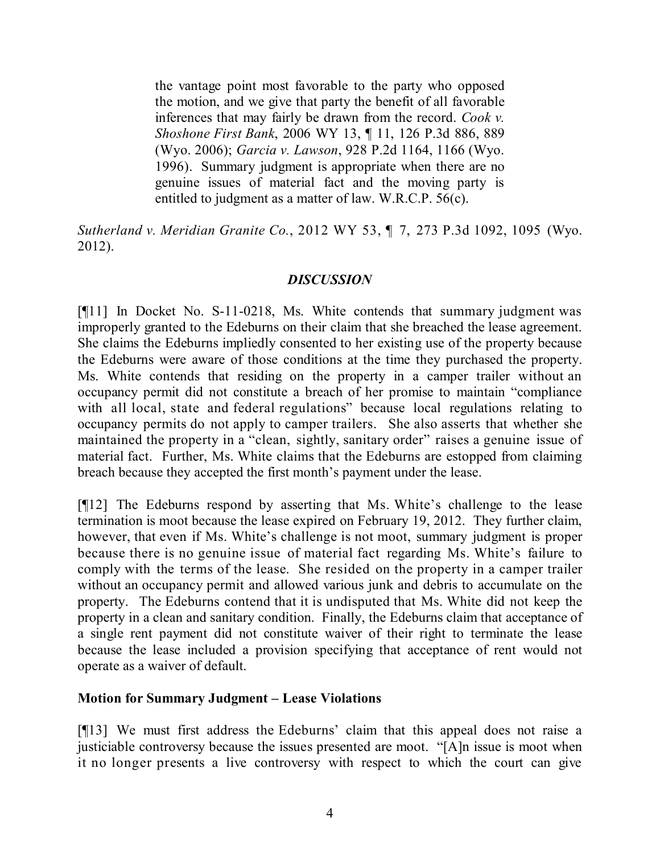the vantage point most favorable to the party who opposed the motion, and we give that party the benefit of all favorable inferences that may fairly be drawn from the record. *Cook v. Shoshone First Bank*, 2006 WY 13, ¶ 11, 126 P.3d 886, 889 (Wyo. 2006); *Garcia v. Lawson*, 928 P.2d 1164, 1166 (Wyo. 1996). Summary judgment is appropriate when there are no genuine issues of material fact and the moving party is entitled to judgment as a matter of law. W.R.C.P. 56(c).

*Sutherland v. Meridian Granite Co.*, 2012 WY 53, ¶ 7, 273 P.3d 1092, 1095 (Wyo. 2012).

## *DISCUSSION*

[¶11] In Docket No. S-11-0218, Ms. White contends that summary judgment was improperly granted to the Edeburns on their claim that she breached the lease agreement. She claims the Edeburns impliedly consented to her existing use of the property because the Edeburns were aware of those conditions at the time they purchased the property. Ms. White contends that residing on the property in a camper trailer without an occupancy permit did not constitute a breach of her promise to maintain "compliance with all local, state and federal regulations" because local regulations relating to occupancy permits do not apply to camper trailers. She also asserts that whether she maintained the property in a "clean, sightly, sanitary order" raises a genuine issue of material fact. Further, Ms. White claims that the Edeburns are estopped from claiming breach because they accepted the first month's payment under the lease.

[¶12] The Edeburns respond by asserting that Ms. White's challenge to the lease termination is moot because the lease expired on February 19, 2012. They further claim, however, that even if Ms. White's challenge is not moot, summary judgment is proper because there is no genuine issue of material fact regarding Ms. White's failure to comply with the terms of the lease. She resided on the property in a camper trailer without an occupancy permit and allowed various junk and debris to accumulate on the property. The Edeburns contend that it is undisputed that Ms. White did not keep the property in a clean and sanitary condition. Finally, the Edeburns claim that acceptance of a single rent payment did not constitute waiver of their right to terminate the lease because the lease included a provision specifying that acceptance of rent would not operate as a waiver of default.

## **Motion for Summary Judgment – Lease Violations**

[¶13] We must first address the Edeburns' claim that this appeal does not raise a justiciable controversy because the issues presented are moot. "[A]n issue is moot when it no longer presents a live controversy with respect to which the court can give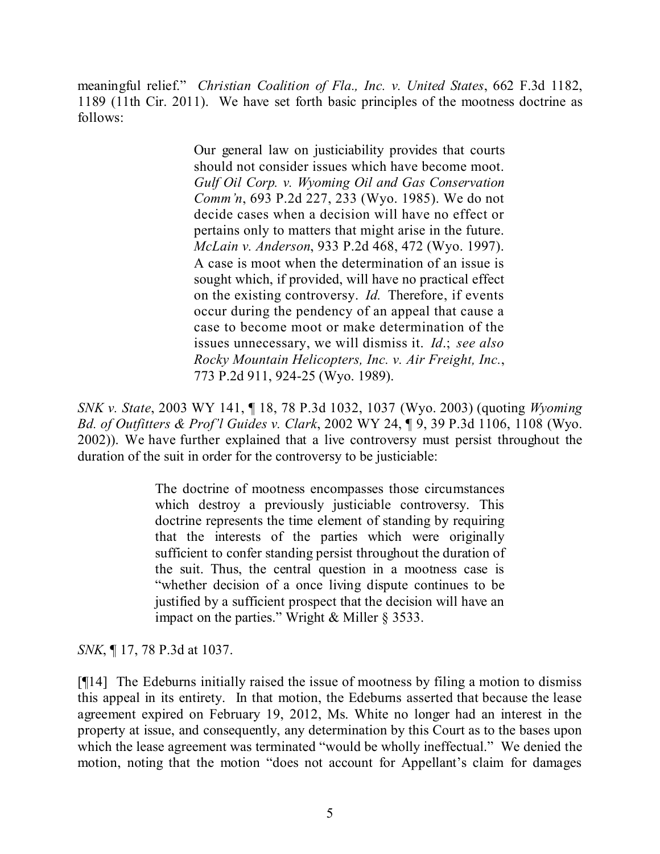meaningful relief." *Christian Coalition of Fla., Inc. v. United States*, 662 F.3d 1182, 1189 (11th Cir. 2011). We have set forth basic principles of the mootness doctrine as follows:

> Our general law on justiciability provides that courts should not consider issues which have become moot. *Gulf Oil Corp. v. Wyoming Oil and Gas Conservation Comm'n*, 693 P.2d 227, 233 (Wyo. 1985). We do not decide cases when a decision will have no effect or pertains only to matters that might arise in the future. *McLain v. Anderson*, 933 P.2d 468, 472 (Wyo. 1997). A case is moot when the determination of an issue is sought which, if provided, will have no practical effect on the existing controversy. *Id.* Therefore, if events occur during the pendency of an appeal that cause a case to become moot or make determination of the issues unnecessary, we will dismiss it. *Id*.; *see also Rocky Mountain Helicopters, Inc. v. Air Freight, Inc.*, 773 P.2d 911, 924-25 (Wyo. 1989).

*SNK v. State*, 2003 WY 141, ¶ 18, 78 P.3d 1032, 1037 (Wyo. 2003) (quoting *Wyoming Bd. of Outfitters & Prof'l Guides v. Clark*, 2002 WY 24, ¶ 9, 39 P.3d 1106, 1108 (Wyo. 2002)). We have further explained that a live controversy must persist throughout the duration of the suit in order for the controversy to be justiciable:

> The doctrine of mootness encompasses those circumstances which destroy a previously justiciable controversy. This doctrine represents the time element of standing by requiring that the interests of the parties which were originally sufficient to confer standing persist throughout the duration of the suit. Thus, the central question in a mootness case is "whether decision of a once living dispute continues to be justified by a sufficient prospect that the decision will have an impact on the parties." Wright & Miller § 3533.

*SNK*, ¶ 17, 78 P.3d at 1037.

[¶14] The Edeburns initially raised the issue of mootness by filing a motion to dismiss this appeal in its entirety. In that motion, the Edeburns asserted that because the lease agreement expired on February 19, 2012, Ms. White no longer had an interest in the property at issue, and consequently, any determination by this Court as to the bases upon which the lease agreement was terminated "would be wholly ineffectual." We denied the motion, noting that the motion "does not account for Appellant's claim for damages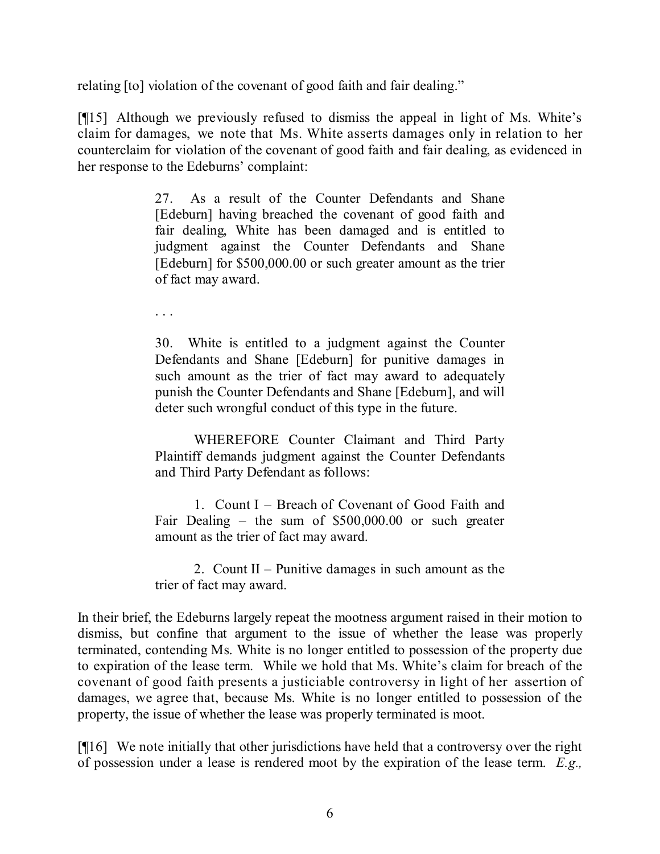relating [to] violation of the covenant of good faith and fair dealing."

[¶15] Although we previously refused to dismiss the appeal in light of Ms. White's claim for damages, we note that Ms. White asserts damages only in relation to her counterclaim for violation of the covenant of good faith and fair dealing, as evidenced in her response to the Edeburns' complaint:

> 27. As a result of the Counter Defendants and Shane [Edeburn] having breached the covenant of good faith and fair dealing, White has been damaged and is entitled to judgment against the Counter Defendants and Shane [Edeburn] for \$500,000.00 or such greater amount as the trier of fact may award.

. . .

30. White is entitled to a judgment against the Counter Defendants and Shane [Edeburn] for punitive damages in such amount as the trier of fact may award to adequately punish the Counter Defendants and Shane [Edeburn], and will deter such wrongful conduct of this type in the future.

WHEREFORE Counter Claimant and Third Party Plaintiff demands judgment against the Counter Defendants and Third Party Defendant as follows:

1. Count I – Breach of Covenant of Good Faith and Fair Dealing – the sum of \$500,000.00 or such greater amount as the trier of fact may award.

2. Count II – Punitive damages in such amount as the trier of fact may award.

In their brief, the Edeburns largely repeat the mootness argument raised in their motion to dismiss, but confine that argument to the issue of whether the lease was properly terminated, contending Ms. White is no longer entitled to possession of the property due to expiration of the lease term. While we hold that Ms. White's claim for breach of the covenant of good faith presents a justiciable controversy in light of her assertion of damages, we agree that, because Ms. White is no longer entitled to possession of the property, the issue of whether the lease was properly terminated is moot.

[¶16] We note initially that other jurisdictions have held that a controversy over the right of possession under a lease is rendered moot by the expiration of the lease term. *E.g.,*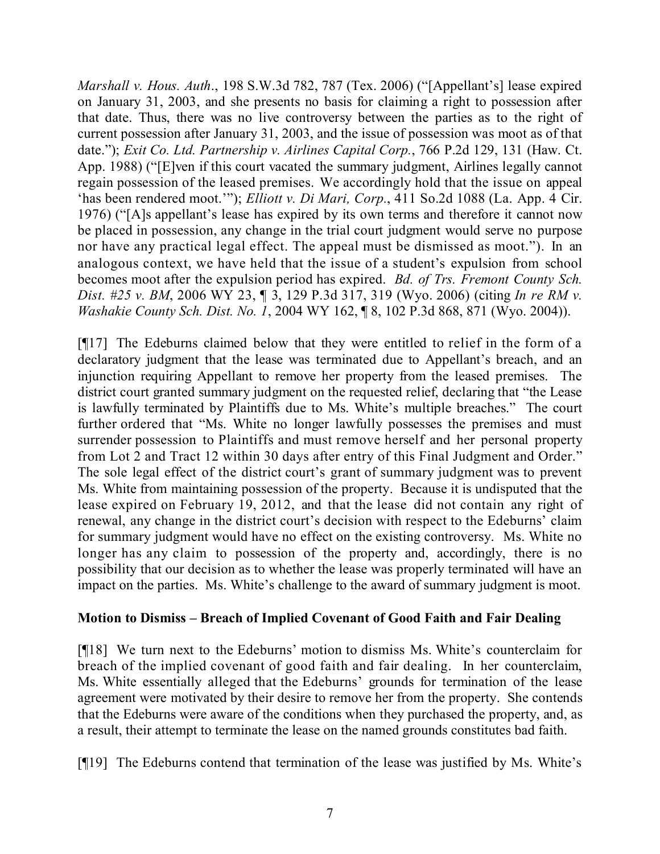*Marshall v. Hous. Auth*., 198 S.W.3d 782, 787 (Tex. 2006) ("[Appellant's] lease expired on January 31, 2003, and she presents no basis for claiming a right to possession after that date. Thus, there was no live controversy between the parties as to the right of current possession after January 31, 2003, and the issue of possession was moot as of that date."); *Exit Co. Ltd. Partnership v. Airlines Capital Corp.*, 766 P.2d 129, 131 (Haw. Ct. App. 1988) ("[E]ven if this court vacated the summary judgment, Airlines legally cannot regain possession of the leased premises. We accordingly hold that the issue on appeal 'has been rendered moot.'"); *Elliott v. Di Mari, Corp.*, 411 So.2d 1088 (La. App. 4 Cir. 1976) ("[A]s appellant's lease has expired by its own terms and therefore it cannot now be placed in possession, any change in the trial court judgment would serve no purpose nor have any practical legal effect. The appeal must be dismissed as moot."). In an analogous context, we have held that the issue of a student's expulsion from school becomes moot after the expulsion period has expired. *Bd. of Trs. Fremont County Sch. Dist. #25 v. BM*, 2006 WY 23, ¶ 3, 129 P.3d 317, 319 (Wyo. 2006) (citing *In re RM v. Washakie County Sch. Dist. No. 1*, 2004 WY 162, ¶ 8, 102 P.3d 868, 871 (Wyo. 2004)).

[¶17] The Edeburns claimed below that they were entitled to relief in the form of a declaratory judgment that the lease was terminated due to Appellant's breach, and an injunction requiring Appellant to remove her property from the leased premises. The district court granted summary judgment on the requested relief, declaring that "the Lease is lawfully terminated by Plaintiffs due to Ms. White's multiple breaches." The court further ordered that "Ms. White no longer lawfully possesses the premises and must surrender possession to Plaintiffs and must remove herself and her personal property from Lot 2 and Tract 12 within 30 days after entry of this Final Judgment and Order." The sole legal effect of the district court's grant of summary judgment was to prevent Ms. White from maintaining possession of the property. Because it is undisputed that the lease expired on February 19, 2012, and that the lease did not contain any right of renewal, any change in the district court's decision with respect to the Edeburns' claim for summary judgment would have no effect on the existing controversy. Ms. White no longer has any claim to possession of the property and, accordingly, there is no possibility that our decision as to whether the lease was properly terminated will have an impact on the parties. Ms. White's challenge to the award of summary judgment is moot.

## **Motion to Dismiss – Breach of Implied Covenant of Good Faith and Fair Dealing**

[¶18] We turn next to the Edeburns' motion to dismiss Ms. White's counterclaim for breach of the implied covenant of good faith and fair dealing. In her counterclaim, Ms. White essentially alleged that the Edeburns' grounds for termination of the lease agreement were motivated by their desire to remove her from the property. She contends that the Edeburns were aware of the conditions when they purchased the property, and, as a result, their attempt to terminate the lease on the named grounds constitutes bad faith.

[¶19] The Edeburns contend that termination of the lease was justified by Ms. White's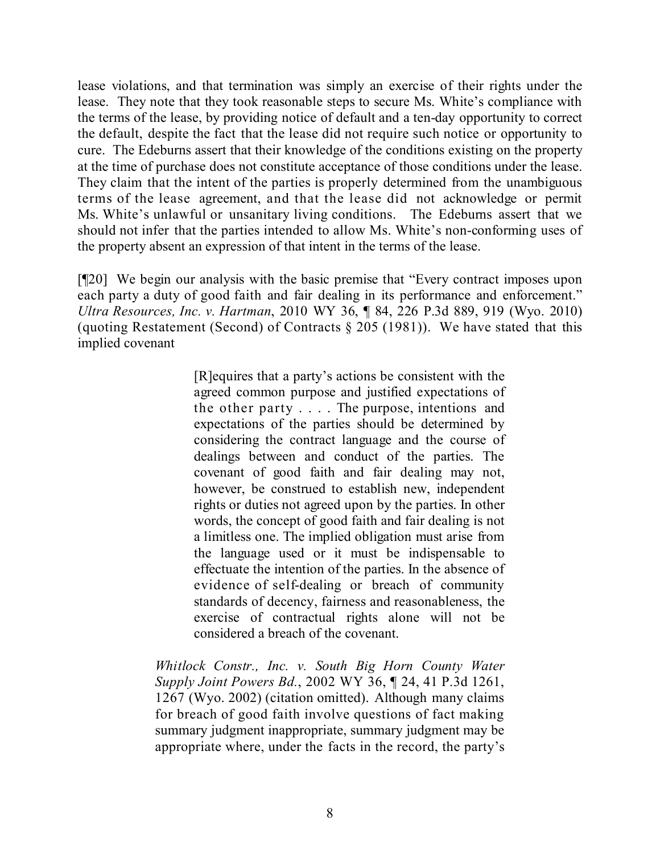lease violations, and that termination was simply an exercise of their rights under the lease. They note that they took reasonable steps to secure Ms. White's compliance with the terms of the lease, by providing notice of default and a ten-day opportunity to correct the default, despite the fact that the lease did not require such notice or opportunity to cure. The Edeburns assert that their knowledge of the conditions existing on the property at the time of purchase does not constitute acceptance of those conditions under the lease. They claim that the intent of the parties is properly determined from the unambiguous terms of the lease agreement, and that the lease did not acknowledge or permit Ms. White's unlawful or unsanitary living conditions. The Edeburns assert that we should not infer that the parties intended to allow Ms. White's non-conforming uses of the property absent an expression of that intent in the terms of the lease.

[¶20] We begin our analysis with the basic premise that "Every contract imposes upon each party a duty of good faith and fair dealing in its performance and enforcement." *Ultra Resources, Inc. v. Hartman*, 2010 WY 36, ¶ 84, 226 P.3d 889, 919 (Wyo. 2010) (quoting Restatement (Second) of Contracts § 205 (1981)). We have stated that this implied covenant

> [R]equires that a party's actions be consistent with the agreed common purpose and justified expectations of the other party . . . . The purpose, intentions and expectations of the parties should be determined by considering the contract language and the course of dealings between and conduct of the parties. The covenant of good faith and fair dealing may not, however, be construed to establish new, independent rights or duties not agreed upon by the parties. In other words, the concept of good faith and fair dealing is not a limitless one. The implied obligation must arise from the language used or it must be indispensable to effectuate the intention of the parties. In the absence of evidence of self-dealing or breach of community standards of decency, fairness and reasonableness, the exercise of contractual rights alone will not be considered a breach of the covenant.

*Whitlock Constr., Inc. v. South Big Horn County Water Supply Joint Powers Bd.*, 2002 WY 36, ¶ 24, 41 P.3d 1261, 1267 (Wyo. 2002) (citation omitted). Although many claims for breach of good faith involve questions of fact making summary judgment inappropriate, summary judgment may be appropriate where, under the facts in the record, the party's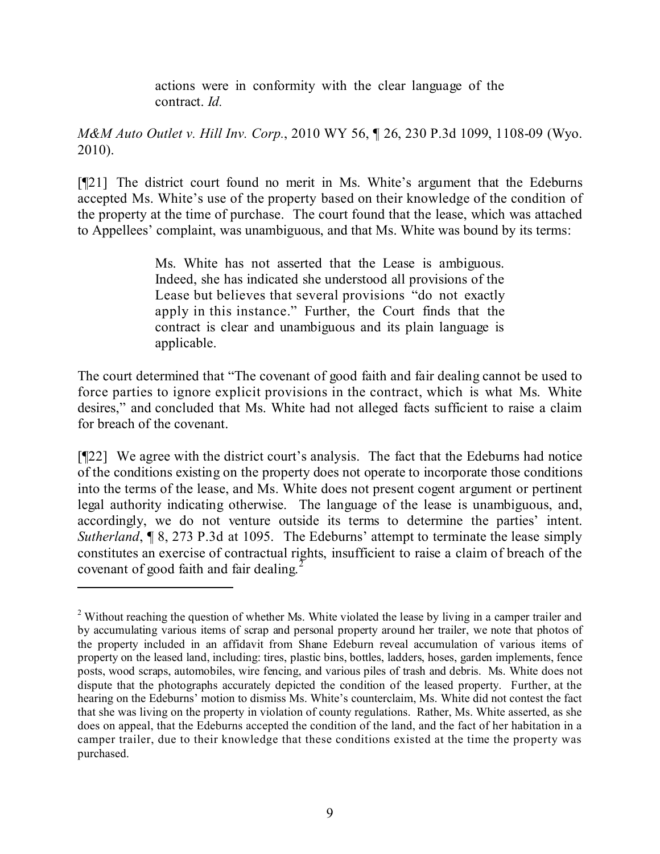actions were in conformity with the clear language of the contract. *Id.*

*M&M Auto Outlet v. Hill Inv. Corp.*, 2010 WY 56, ¶ 26, 230 P.3d 1099, 1108-09 (Wyo. 2010).

[¶21] The district court found no merit in Ms. White's argument that the Edeburns accepted Ms. White's use of the property based on their knowledge of the condition of the property at the time of purchase. The court found that the lease, which was attached to Appellees' complaint, was unambiguous, and that Ms. White was bound by its terms:

> Ms. White has not asserted that the Lease is ambiguous. Indeed, she has indicated she understood all provisions of the Lease but believes that several provisions "do not exactly apply in this instance." Further, the Court finds that the contract is clear and unambiguous and its plain language is applicable.

The court determined that "The covenant of good faith and fair dealing cannot be used to force parties to ignore explicit provisions in the contract, which is what Ms. White desires," and concluded that Ms. White had not alleged facts sufficient to raise a claim for breach of the covenant.

[¶22] We agree with the district court's analysis. The fact that the Edeburns had notice of the conditions existing on the property does not operate to incorporate those conditions into the terms of the lease, and Ms. White does not present cogent argument or pertinent legal authority indicating otherwise. The language of the lease is unambiguous, and, accordingly, we do not venture outside its terms to determine the parties' intent. *Sutherland*, **[8, 273 P.3d at 1095.** The Edeburns' attempt to terminate the lease simply constitutes an exercise of contractual rights, insufficient to raise a claim of breach of the covenant of good faith and fair dealing.<sup>2</sup>

<sup>&</sup>lt;sup>2</sup> Without reaching the question of whether Ms. White violated the lease by living in a camper trailer and by accumulating various items of scrap and personal property around her trailer, we note that photos of the property included in an affidavit from Shane Edeburn reveal accumulation of various items of property on the leased land, including: tires, plastic bins, bottles, ladders, hoses, garden implements, fence posts, wood scraps, automobiles, wire fencing, and various piles of trash and debris. Ms. White does not dispute that the photographs accurately depicted the condition of the leased property. Further, at the hearing on the Edeburns' motion to dismiss Ms. White's counterclaim, Ms. White did not contest the fact that she was living on the property in violation of county regulations. Rather, Ms. White asserted, as she does on appeal, that the Edeburns accepted the condition of the land, and the fact of her habitation in a camper trailer, due to their knowledge that these conditions existed at the time the property was purchased.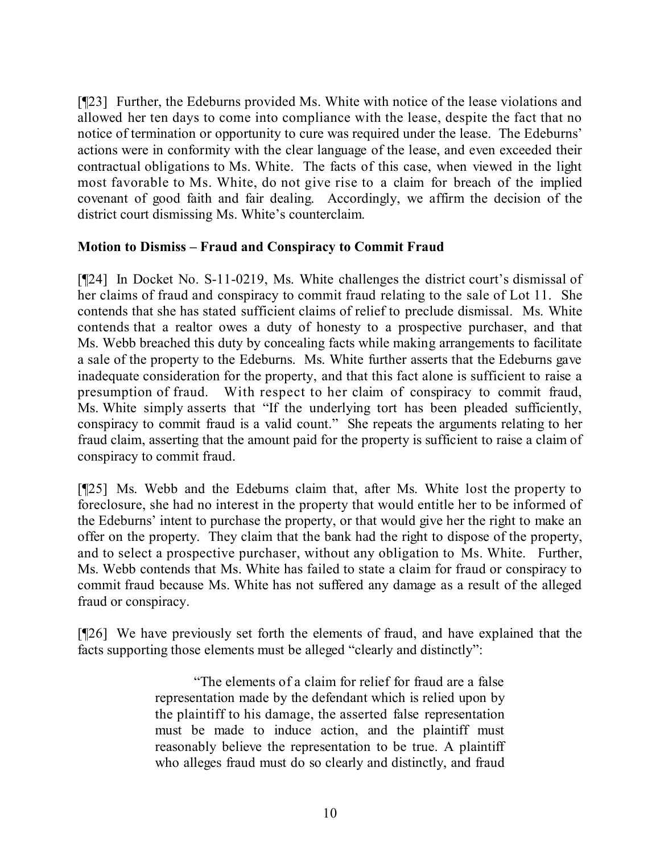[¶23] Further, the Edeburns provided Ms. White with notice of the lease violations and allowed her ten days to come into compliance with the lease, despite the fact that no notice of termination or opportunity to cure was required under the lease. The Edeburns' actions were in conformity with the clear language of the lease, and even exceeded their contractual obligations to Ms. White. The facts of this case, when viewed in the light most favorable to Ms. White, do not give rise to a claim for breach of the implied covenant of good faith and fair dealing. Accordingly, we affirm the decision of the district court dismissing Ms. White's counterclaim.

## **Motion to Dismiss – Fraud and Conspiracy to Commit Fraud**

[¶24] In Docket No. S-11-0219, Ms. White challenges the district court's dismissal of her claims of fraud and conspiracy to commit fraud relating to the sale of Lot 11. She contends that she has stated sufficient claims of relief to preclude dismissal. Ms. White contends that a realtor owes a duty of honesty to a prospective purchaser, and that Ms. Webb breached this duty by concealing facts while making arrangements to facilitate a sale of the property to the Edeburns. Ms. White further asserts that the Edeburns gave inadequate consideration for the property, and that this fact alone is sufficient to raise a presumption of fraud. With respect to her claim of conspiracy to commit fraud, Ms. White simply asserts that "If the underlying tort has been pleaded sufficiently, conspiracy to commit fraud is a valid count." She repeats the arguments relating to her fraud claim, asserting that the amount paid for the property is sufficient to raise a claim of conspiracy to commit fraud.

[¶25] Ms. Webb and the Edeburns claim that, after Ms. White lost the property to foreclosure, she had no interest in the property that would entitle her to be informed of the Edeburns' intent to purchase the property, or that would give her the right to make an offer on the property. They claim that the bank had the right to dispose of the property, and to select a prospective purchaser, without any obligation to Ms. White. Further, Ms. Webb contends that Ms. White has failed to state a claim for fraud or conspiracy to commit fraud because Ms. White has not suffered any damage as a result of the alleged fraud or conspiracy.

[¶26] We have previously set forth the elements of fraud, and have explained that the facts supporting those elements must be alleged "clearly and distinctly":

> "The elements of a claim for relief for fraud are a false representation made by the defendant which is relied upon by the plaintiff to his damage, the asserted false representation must be made to induce action, and the plaintiff must reasonably believe the representation to be true. A plaintiff who alleges fraud must do so clearly and distinctly, and fraud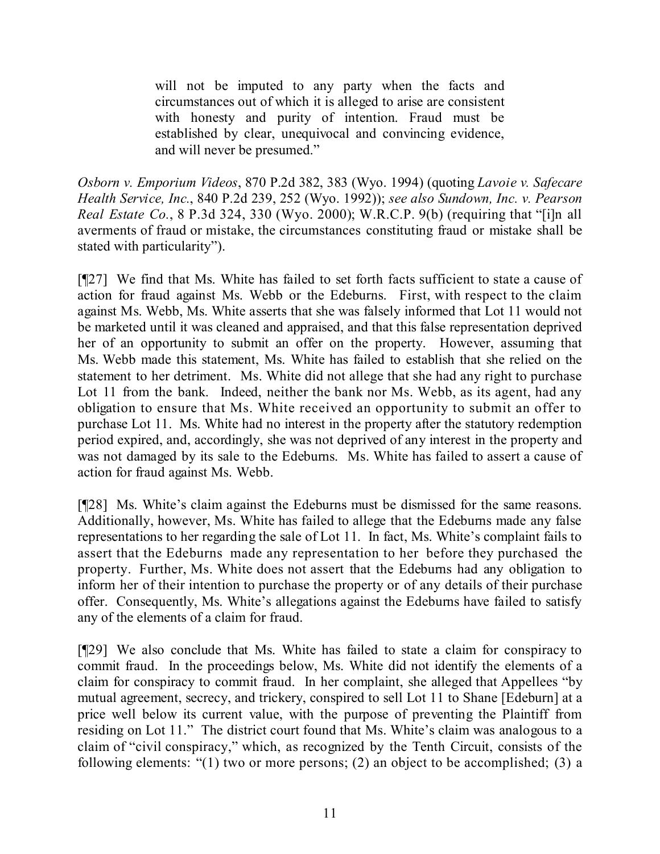will not be imputed to any party when the facts and circumstances out of which it is alleged to arise are consistent with honesty and purity of intention. Fraud must be established by clear, unequivocal and convincing evidence, and will never be presumed."

*Osborn v. Emporium Videos*, 870 P.2d 382, 383 (Wyo. 1994) (quoting *Lavoie v. Safecare Health Service, Inc.*, 840 P.2d 239, 252 (Wyo. 1992)); *see also Sundown, Inc. v. Pearson Real Estate Co.*, 8 P.3d 324, 330 (Wyo. 2000); W.R.C.P. 9(b) (requiring that "[i]n all averments of fraud or mistake, the circumstances constituting fraud or mistake shall be stated with particularity").

[¶27] We find that Ms. White has failed to set forth facts sufficient to state a cause of action for fraud against Ms. Webb or the Edeburns. First, with respect to the claim against Ms. Webb, Ms. White asserts that she was falsely informed that Lot 11 would not be marketed until it was cleaned and appraised, and that this false representation deprived her of an opportunity to submit an offer on the property. However, assuming that Ms. Webb made this statement, Ms. White has failed to establish that she relied on the statement to her detriment. Ms. White did not allege that she had any right to purchase Lot 11 from the bank. Indeed, neither the bank nor Ms. Webb, as its agent, had any obligation to ensure that Ms. White received an opportunity to submit an offer to purchase Lot 11. Ms. White had no interest in the property after the statutory redemption period expired, and, accordingly, she was not deprived of any interest in the property and was not damaged by its sale to the Edeburns. Ms. White has failed to assert a cause of action for fraud against Ms. Webb.

[¶28] Ms. White's claim against the Edeburns must be dismissed for the same reasons. Additionally, however, Ms. White has failed to allege that the Edeburns made any false representations to her regarding the sale of Lot 11. In fact, Ms. White's complaint fails to assert that the Edeburns made any representation to her before they purchased the property. Further, Ms. White does not assert that the Edeburns had any obligation to inform her of their intention to purchase the property or of any details of their purchase offer. Consequently, Ms. White's allegations against the Edeburns have failed to satisfy any of the elements of a claim for fraud.

[¶29] We also conclude that Ms. White has failed to state a claim for conspiracy to commit fraud. In the proceedings below, Ms. White did not identify the elements of a claim for conspiracy to commit fraud. In her complaint, she alleged that Appellees "by mutual agreement, secrecy, and trickery, conspired to sell Lot 11 to Shane [Edeburn] at a price well below its current value, with the purpose of preventing the Plaintiff from residing on Lot 11." The district court found that Ms. White's claim was analogous to a claim of "civil conspiracy," which, as recognized by the Tenth Circuit, consists of the following elements: "(1) two or more persons; (2) an object to be accomplished; (3) a